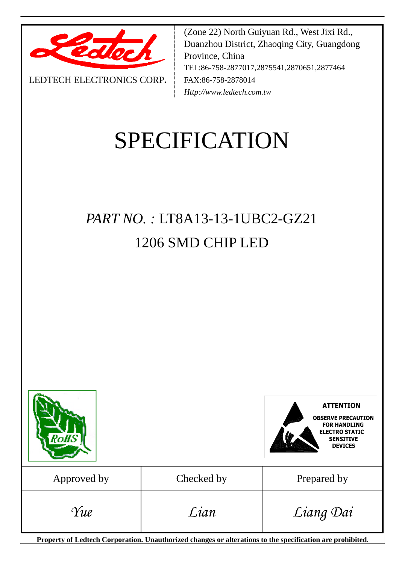

LEDTECH ELECTRONICS CORP**.**

(Zone 22) North Guiyuan Rd., West Jixi Rd., Duanzhou District, Zhaoqing City, Guangdong Province, China TEL:86-758-2877017,2875541,2870651,2877464 FAX:86-758-2878014 *Http://www.ledtech.com.tw*

# SPECIFICATION

# *PART NO. :* LT8A13-13-1UBC2-GZ21 1206 SMD CHIP LED



**Property of Ledtech Corporation. Unauthorized changes or alterations to the specification are prohibited***.*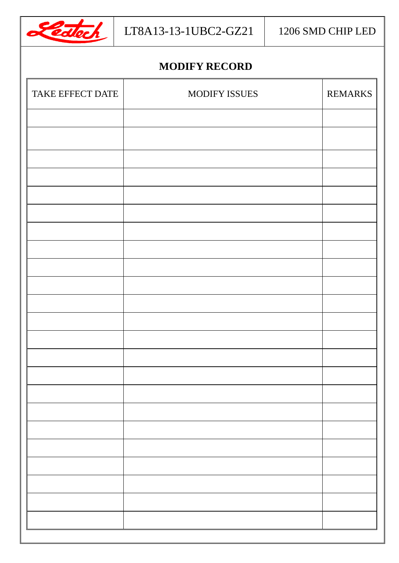

# **MODIFY RECORD**

| TAKE EFFECT DATE | MODIFY ISSUES | <b>REMARKS</b> |
|------------------|---------------|----------------|
|                  |               |                |
|                  |               |                |
|                  |               |                |
|                  |               |                |
|                  |               |                |
|                  |               |                |
|                  |               |                |
|                  |               |                |
|                  |               |                |
|                  |               |                |
|                  |               |                |
|                  |               |                |
|                  |               |                |
|                  |               |                |
|                  |               |                |
|                  |               |                |
|                  |               |                |
|                  |               |                |
|                  |               |                |
|                  |               |                |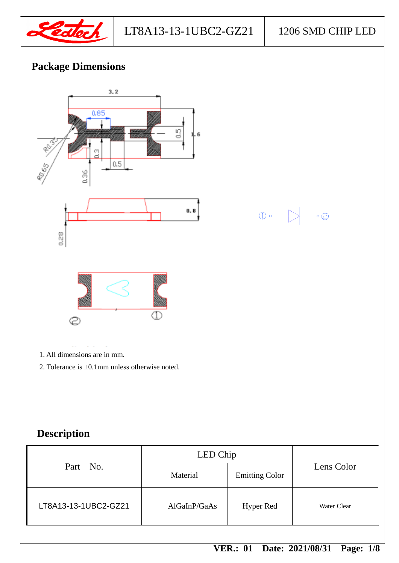

 $\odot$ 

# **Package Dimensions**



- 1. All dimensions are in mm.
- 2. Tolerance is ±0.1mm unless otherwise noted.

# **Description**

|                      | LED Chip     |                       |             |
|----------------------|--------------|-----------------------|-------------|
| Part No.             | Material     | <b>Emitting Color</b> | Lens Color  |
| LT8A13-13-1UBC2-GZ21 | AlGalnP/GaAs | <b>Hyper Red</b>      | Water Clear |

 $\circled{1}$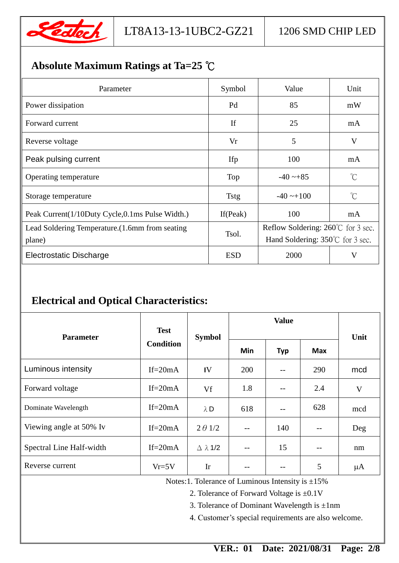

# **Absolute Maximum Ratings at Ta=25** ℃

| Parameter                                          | Symbol      | Value                                        | Unit        |  |
|----------------------------------------------------|-------------|----------------------------------------------|-------------|--|
| Power dissipation                                  | Pd          | 85                                           | mW          |  |
| Forward current                                    | If          | 25                                           | mA          |  |
| Reverse voltage                                    | Vr          | 5                                            | V           |  |
| Peak pulsing current                               | Ifp         | 100                                          | mA          |  |
| Operating temperature                              | Top         | $-40 - 85$                                   | $^{\circ}C$ |  |
| Storage temperature                                | <b>Tstg</b> | $-40 \rightarrow 100$                        | $^{\circ}C$ |  |
| Peak Current (1/10Duty Cycle, 0.1 ms Pulse Width.) | If $(Peak)$ | 100                                          | mA          |  |
| Lead Soldering Temperature. (1.6mm from seating    | Tsol.       | Reflow Soldering: $260^{\circ}$ C for 3 sec. |             |  |
| plane)                                             |             | Hand Soldering: 350°C for 3 sec.             |             |  |
| <b>Electrostatic Discharge</b>                     | <b>ESD</b>  | 2000                                         | V           |  |

# **Electrical and Optical Characteristics:**

|                          | <b>Test</b><br><b>Condition</b> | <b>Symbol</b>             | <b>Value</b> |            |            |      |
|--------------------------|---------------------------------|---------------------------|--------------|------------|------------|------|
| <b>Parameter</b>         |                                 |                           |              |            |            | Unit |
|                          |                                 |                           | Min          | <b>Typ</b> | <b>Max</b> |      |
| Luminous intensity       | If= $20mA$                      | IV                        | 200          | $- -$      | 290        | mcd  |
| Forward voltage          | If= $20mA$                      | Vf                        | 1.8          |            | 2.4        | V    |
| Dominate Wavelength      | $If = 20mA$                     | $\lambda$ D               | 618          | $-$        | 628        | mcd  |
| Viewing angle at 50% Iv  | If= $20mA$                      | $2 \theta$ 1/2            |              | 140        |            | Deg  |
| Spectral Line Half-width | If= $20mA$                      | $\triangle$ $\lambda$ 1/2 | $- -$        | 15         |            | nm   |
| Reverse current          | $Vr=5V$                         | Ir                        |              |            | 5          | μA   |

Notes:1. Tolerance of Luminous Intensity is ±15%

2. Tolerance of Forward Voltage is ±0.1V

3. Tolerance of Dominant Wavelength is  $\pm 1$ nm

4. Customer's special requirements are also welcome.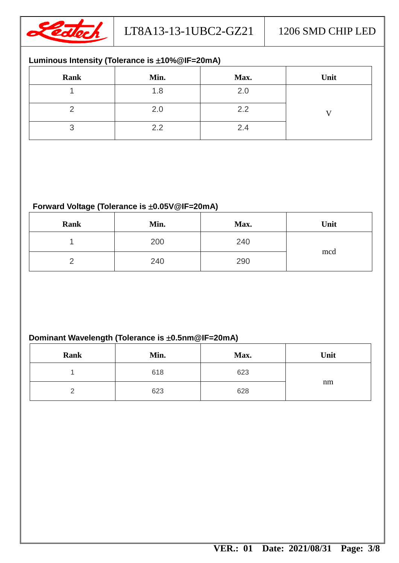

#### **Luminous Intensity (Tolerance is 10%@IF=20mA)**

| Rank | Min. | Max. | Unit |
|------|------|------|------|
|      | 1.8  | 2.0  |      |
|      | 2.0  | 2.2  |      |
|      | 2.2  | 2.4  |      |

#### Forward Voltage (Tolerance is  $\pm 0.05V@IF=20mA$ )

| Rank | Min. | Max. | Unit |
|------|------|------|------|
|      | 200  | 240  | mcd  |
|      | 240  | 290  |      |

### **Dominant Wavelength (Tolerance is**  $\pm$ **0.5nm@IF=20mA)**

| Rank | Min. | Max. | Unit |
|------|------|------|------|
|      | 618  | 623  |      |
|      | 623  | 628  | nm   |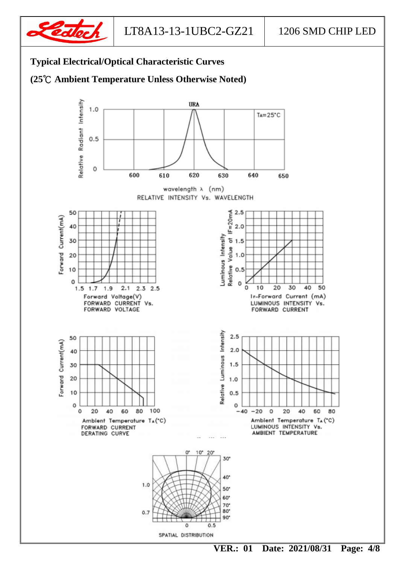

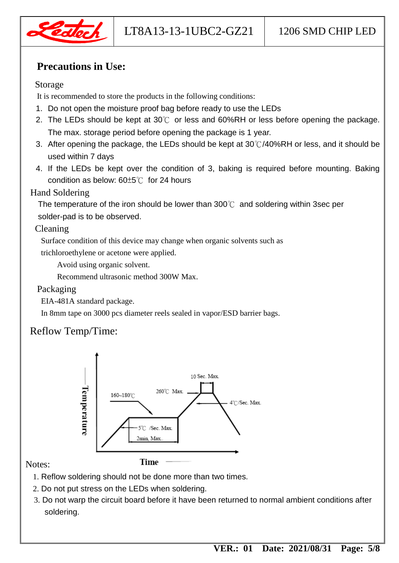

## **Precautions in Use:**

#### Storage

It is recommended to store the products in the following conditions:

- 1. Do not open the moisture proof bag before ready to use the LEDs
- 2. The LEDs should be kept at 30 $^{\circ}\text{C}$  or less and 60%RH or less before opening the package. The max. storage period before opening the package is 1 year.
- 3. After opening the package, the LEDs should be kept at 30℃/40%RH or less, and it should be used within 7 days
- 4. If the LEDs be kept over the condition of 3, baking is required before mounting. Baking condition as below: 60±5℃ for 24 hours

#### Hand Soldering

The temperature of the iron should be lower than 300℃ and soldering within 3sec per solder-pad is to be observed.

#### Cleaning

Surface condition of this device may change when organic solvents such as

trichloroethylene or acetone were applied.

Avoid using organic solvent.

Recommend ultrasonic method 300W Max.

#### Packaging

EIA-481A standard package.

In 8mm tape on 3000 pcs diameter reels sealed in vapor/ESD barrier bags.

# Reflow Temp/Time:



#### Notes:

- 1. Reflow soldering should not be done more than two times.
- 2. Do not put stress on the LEDs when soldering.
- 3. Do not warp the circuit board before it have been returned to normal ambient conditions after soldering.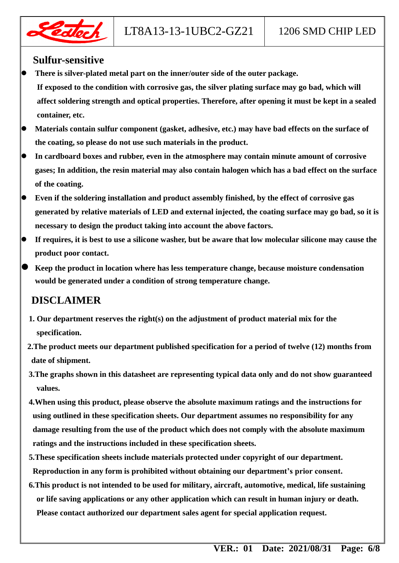

#### **Sulfur-sensitive**

- **There is silver-plated metal part on the inner/outer side of the outer package.**
- **If exposed to the condition with corrosive gas, the silver plating surface may go bad, which will affect soldering strength and optical properties. Therefore, after opening it must be kept in a sealed container, etc.**
- **Materials contain sulfur component (gasket, adhesive, etc.) may have bad effects on the surface of the coating, so please do not use such materials in the product.**
- **In cardboard boxes and rubber, even in the atmosphere may contain minute amount of corrosive gases; In addition, the resin material may also contain halogen which has a bad effect on the surface of the coating.**
- **Even if the soldering installation and product assembly finished, by the effect of corrosive gas generated by relative materials of LED and external injected, the coating surface may go bad, so it is necessary to design the product taking into account the above factors.**
- **If requires, it is best to use a silicone washer, but be aware that low molecular silicone may cause the product poor contact.**
- **Keep the product in location where has less temperature change, because moisture condensation would be generated under a condition of strong temperature change.**

# **DISCLAIMER**

- **1. Our department reserves the right(s) on the adjustment of product material mix for the specification.**
- **2.The product meets our department published specification for a period of twelve (12) months from date of shipment.**
- **3.The graphs shown in this datasheet are representing typical data only and do not show guaranteed values.**
- **4.When using this product, please observe the absolute maximum ratings and the instructions for using outlined in these specification sheets. Our department assumes no responsibility for any damage resulting from the use of the product which does not comply with the absolute maximum ratings and the instructions included in these specification sheets.**
- **5.These specification sheets include materials protected under copyright of our department. Reproduction in any form is prohibited without obtaining our department's prior consent.**
- **6.This product is not intended to be used for military, aircraft, automotive, medical, life sustaining or life saving applications or any other application which can result in human injury or death. Please contact authorized our department sales agent for special application request.**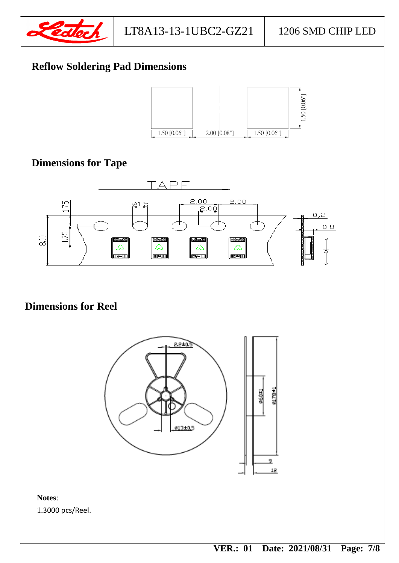

# **Reflow Soldering Pad Dimensions**



# **Dimensions for Tape**



# **Dimensions for Reel**



#### **Notes**:

1.3000 pcs/Reel.